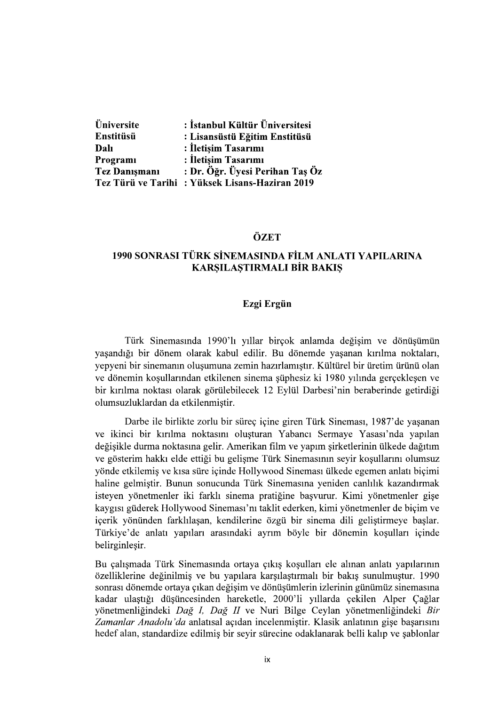| Üniversite           | : İstanbul Kültür Üniversitesi                  |
|----------------------|-------------------------------------------------|
| Enstitüsü            | : Lisansüstü Eğitim Enstitüsü                   |
| Dalı                 | : İletişim Tasarımı                             |
| Programi             | : İletisim Tasarımı                             |
| <b>Tez Danismani</b> | : Dr. Öğr. Üyesi Perihan Taş Öz                 |
|                      | Tez Türü ve Tarihi : Yüksek Lisans-Haziran 2019 |

### **ÖZET**

# 1990 SONRASI TÜRK SİNEMASINDA FİLM ANLATI YAPILARINA **KARSILASTIRMALI BİR BAKIS**

### Ezgi Ergün

Türk Sinemasında 1990'lı yıllar birçok anlamda değişim ve dönüşümün yaşandığı bir dönem olarak kabul edilir. Bu dönemde yaşanan kırılma noktaları, yepyeni bir sinemanın oluşumuna zemin hazırlamıştır. Kültürel bir üretim ürünü olan ve dönemin koşullarından etkilenen sinema şüphesiz ki 1980 yılında gerçekleşen ve bir kırılma noktası olarak görülebilecek 12 Eylül Darbesi'nin beraberinde getirdiği olumsuzluklardan da etkilenmistir.

Darbe ile birlikte zorlu bir süreç içine giren Türk Sineması, 1987'de yaşanan ve ikinci bir kırılma noktasını oluşturan Yabancı Sermaye Yasası'nda yapılan değisikle durma noktasına gelir. Amerikan film ve yapım sirketlerinin ülkede dağıtım ve gösterim hakkı elde ettiği bu gelişme Türk Sinemasının seyir koşullarını olumsuz yönde etkilemiş ve kısa süre içinde Hollywood Sineması ülkede egemen anlatı biçimi haline gelmiştir. Bunun sonucunda Türk Sinemasına yeniden canlılık kazandırmak isteyen yönetmenler iki farklı sinema pratiğine başvurur. Kimi yönetmenler gişe kaygısı güderek Hollywood Sineması'nı taklit ederken, kimi yönetmenler de biçim ve içerik yönünden farklılaşan, kendilerine özgü bir sinema dili geliştirmeye başlar. Türkiye'de anlatı yapıları arasındaki ayrım böyle bir dönemin koşulları içinde belirginlesir.

Bu çalışmada Türk Sinemasında ortaya çıkış koşulları ele alınan anlatı yapılarının özelliklerine değinilmiş ve bu yapılara karşılaştırmalı bir bakış sunulmuştur. 1990 sonrası dönemde ortaya çıkan değişim ve dönüşümlerin izlerinin günümüz sinemasına kadar ulaştığı düşüncesinden hareketle, 2000'li yıllarda çekilen Alper Çağlar vönetmenliğindeki Dağ I, Dağ II ve Nuri Bilge Ceylan yönetmenliğindeki Bir Zamanlar Anadolu'da anlatısal açıdan incelenmiştir. Klasik anlatının gişe başarısını hedef alan, standardize edilmiş bir seyir sürecine odaklanarak belli kalıp ve şablonlar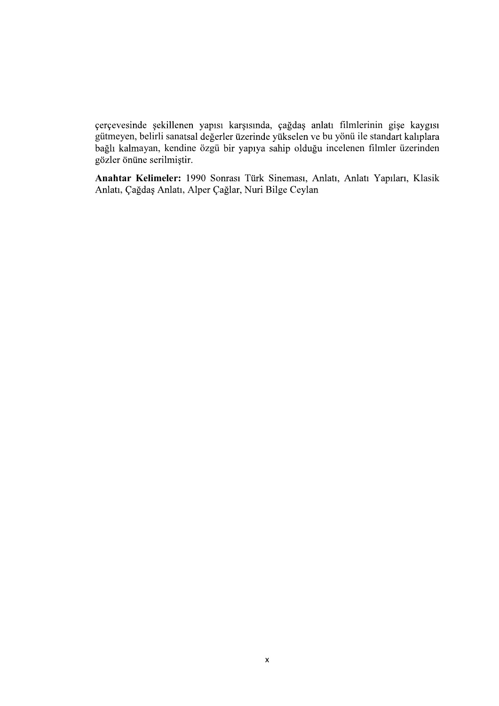çerçevesinde şekillenen yapısı karşısında, çağdaş anlatı filmlerinin gişe kaygısı gütmeyen, belirli sanatsal değerler üzerinde yükselen ve bu yönü ile standart kalıplara bağlı kalmayan, kendine özgü bir yapıya sahip olduğu incelenen filmler üzerinden gözler önüne serilmiştir.

Anahtar Kelimeler: 1990 Sonrası Türk Sineması, Anlatı, Anlatı Yapıları, Klasik Anlatı, Çağdaş Anlatı, Alper Çağlar, Nuri Bilge Ceylan